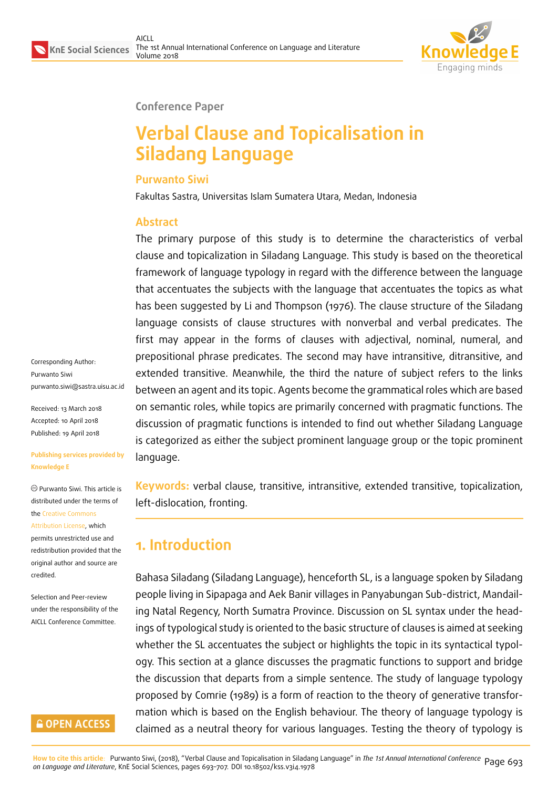

**Conference Paper**

# **Verbal Clause and Topicalisation in Siladang Language**

#### **Purwanto Siwi**

Fakultas Sastra, Universitas Islam Sumatera Utara, Medan, Indonesia

#### **Abstract**

The primary purpose of this study is to determine the characteristics of verbal clause and topicalization in Siladang Language. This study is based on the theoretical framework of language typology in regard with the difference between the language that accentuates the subjects with the language that accentuates the topics as what has been suggested by Li and Thompson (1976). The clause structure of the Siladang language consists of clause structures with nonverbal and verbal predicates. The first may appear in the forms of clauses with adjectival, nominal, numeral, and prepositional phrase predicates. The second may have intransitive, ditransitive, and extended transitive. Meanwhile, the third the nature of subject refers to the links between an agent and its topic. Agents become the grammatical roles which are based on semantic roles, while topics are primarily concerned with pragmatic functions. The discussion of pragmatic functions is intended to find out whether Siladang Language is categorized as either the subject prominent language group or the topic prominent language.

**Keywords:** verbal clause, transitive, intransitive, extended transitive, topicalization, left-dislocation, fronting.

## **1. Introduction**

Bahasa Siladang (Siladang Language), henceforth SL, is a language spoken by Siladang people living in Sipapaga and Aek Banir villages in Panyabungan Sub-district, Mandailing Natal Regency, North Sumatra Province. Discussion on SL syntax under the headings of typological study is oriented to the basic structure of clauses is aimed at seeking whether the SL accentuates the subject or highlights the topic in its syntactical typology. This section at a glance discusses the pragmatic functions to support and bridge the discussion that departs from a simple sentence. The study of language typology proposed by Comrie (1989) is a form of reaction to the theory of generative transformation which is based on the English behaviour. The theory of language typology is claimed as a neutral theory for various languages. Testing the theory of typology is

Corresponding Author: Purwanto Siwi purwanto.siwi@sastra.uisu.ac.id

Received: 13 March 2018 Accepted: 10 April 2018 [Published: 19 April 2018](mailto:purwanto.siwi@sastra.uisu.ac.id)

#### **Publishing services provided by Knowledge E**

Purwanto Siwi. This article is distributed under the terms of the Creative Commons Attribution License, which permits unrestricted use and redistribution provided that the ori[ginal author and sou](https://creativecommons.org/licenses/by/4.0/)rce are [credited.](https://creativecommons.org/licenses/by/4.0/)

Selection and Peer-review under the responsibility of the AICLL Conference Committee.

#### **GOPEN ACCESS**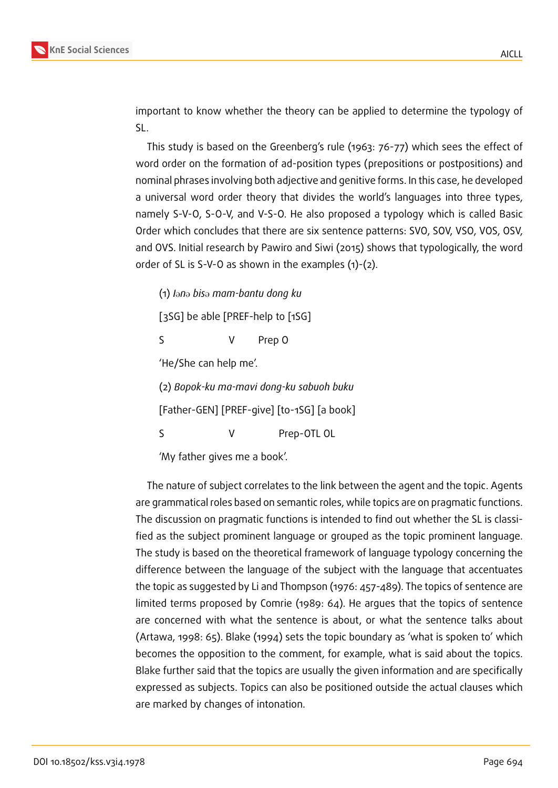

important to know whether the theory can be applied to determine the typology of SL.

This study is based on the Greenberg's rule (1963: 76-77) which sees the effect of word order on the formation of ad-position types (prepositions or postpositions) and nominal phrases involving both adjective and genitive forms. In this case, he developed a universal word order theory that divides the world's languages into three types, namely S-V-O, S-O-V, and V-S-O. He also proposed a typology which is called Basic Order which concludes that there are six sentence patterns: SVO, SOV, VSO, VOS, OSV, and OVS. Initial research by Pawiro and Siwi (2015) shows that typologically, the word order of SL is S-V-O as shown in the examples (1)-(2).

(1) *I*@*n*@ *bis*@ *mam-bantu dong ku*

[3SG] be able [PREF-help to [1SG]

S V Prep O

'He/She can help me'.

(2) *Bopok-ku ma-mavi dong-ku sabuoh buku*

[Father-GEN] [PREF-give] [to-1SG] [a book]

S V Prep-OTL OL

'My father gives me a book'.

The nature of subject correlates to the link between the agent and the topic. Agents are grammatical roles based on semantic roles, while topics are on pragmatic functions. The discussion on pragmatic functions is intended to find out whether the SL is classified as the subject prominent language or grouped as the topic prominent language. The study is based on the theoretical framework of language typology concerning the difference between the language of the subject with the language that accentuates the topic as suggested by Li and Thompson (1976: 457-489). The topics of sentence are limited terms proposed by Comrie (1989: 64). He argues that the topics of sentence are concerned with what the sentence is about, or what the sentence talks about (Artawa, 1998: 65). Blake (1994) sets the topic boundary as 'what is spoken to' which becomes the opposition to the comment, for example, what is said about the topics. Blake further said that the topics are usually the given information and are specifically expressed as subjects. Topics can also be positioned outside the actual clauses which are marked by changes of intonation.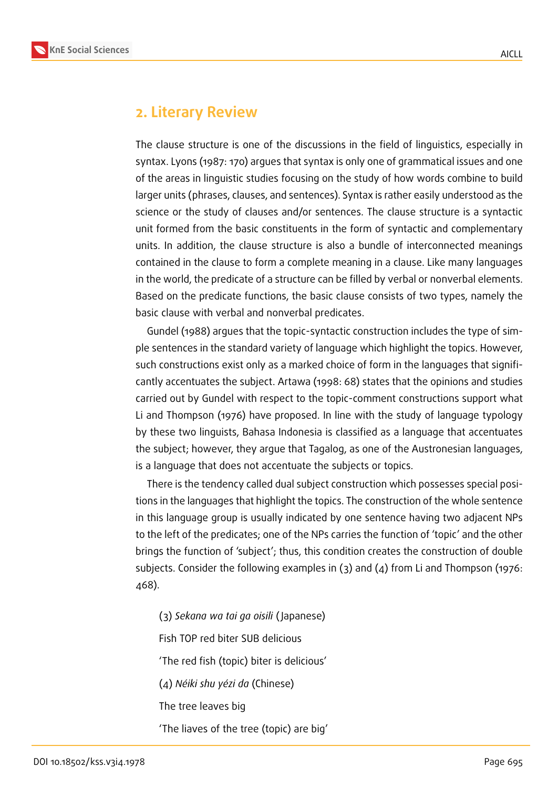

### **2. Literary Review**

The clause structure is one of the discussions in the field of linguistics, especially in syntax. Lyons (1987: 170) argues that syntax is only one of grammatical issues and one of the areas in linguistic studies focusing on the study of how words combine to build larger units (phrases, clauses, and sentences). Syntax is rather easily understood as the science or the study of clauses and/or sentences. The clause structure is a syntactic unit formed from the basic constituents in the form of syntactic and complementary units. In addition, the clause structure is also a bundle of interconnected meanings contained in the clause to form a complete meaning in a clause. Like many languages in the world, the predicate of a structure can be filled by verbal or nonverbal elements. Based on the predicate functions, the basic clause consists of two types, namely the basic clause with verbal and nonverbal predicates.

Gundel (1988) argues that the topic-syntactic construction includes the type of simple sentences in the standard variety of language which highlight the topics. However, such constructions exist only as a marked choice of form in the languages that significantly accentuates the subject. Artawa (1998: 68) states that the opinions and studies carried out by Gundel with respect to the topic-comment constructions support what Li and Thompson (1976) have proposed. In line with the study of language typology by these two linguists, Bahasa Indonesia is classified as a language that accentuates the subject; however, they argue that Tagalog, as one of the Austronesian languages, is a language that does not accentuate the subjects or topics.

There is the tendency called dual subject construction which possesses special positions in the languages that highlight the topics. The construction of the whole sentence in this language group is usually indicated by one sentence having two adjacent NPs to the left of the predicates; one of the NPs carries the function of 'topic' and the other brings the function of 'subject'; thus, this condition creates the construction of double subjects. Consider the following examples in (3) and (4) from Li and Thompson (1976: 468).

(3) *Sekana wa tai ga oisili* ( Japanese) Fish TOP red biter SUB delicious 'The red fish (topic) biter is delicious' (4) *Néiki shu yézi da* (Chinese) The tree leaves big 'The liaves of the tree (topic) are big'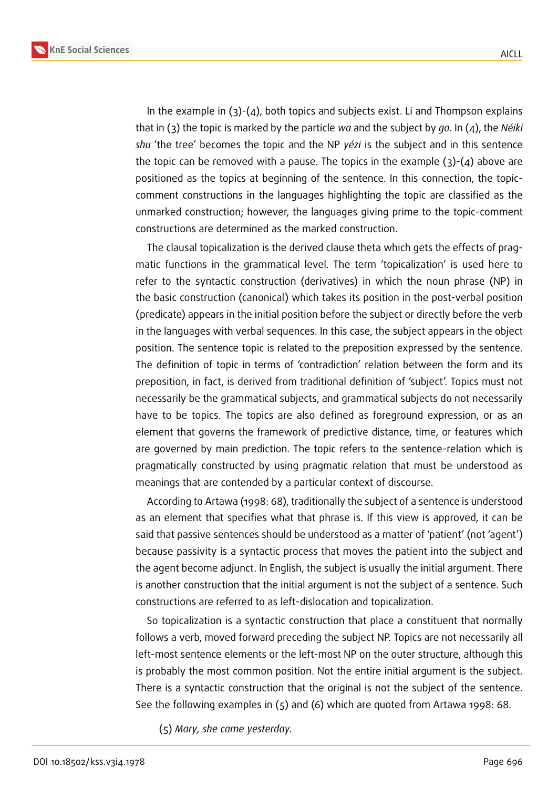

In the example in  $(3)-(4)$ , both topics and subjects exist. Li and Thompson explains that in (3) the topic is marked by the particle *wa* and the subject by *ga*. In (4), the *Néiki shu* 'the tree' becomes the topic and the NP *yézi* is the subject and in this sentence the topic can be removed with a pause. The topics in the example  $(3)-(4)$  above are positioned as the topics at beginning of the sentence. In this connection, the topiccomment constructions in the languages highlighting the topic are classified as the unmarked construction; however, the languages giving prime to the topic-comment constructions are determined as the marked construction.

The clausal topicalization is the derived clause theta which gets the effects of pragmatic functions in the grammatical level. The term 'topicalization' is used here to refer to the syntactic construction (derivatives) in which the noun phrase (NP) in the basic construction (canonical) which takes its position in the post-verbal position (predicate) appears in the initial position before the subject or directly before the verb in the languages with verbal sequences. In this case, the subject appears in the object position. The sentence topic is related to the preposition expressed by the sentence. The definition of topic in terms of 'contradiction' relation between the form and its preposition, in fact, is derived from traditional definition of 'subject'. Topics must not necessarily be the grammatical subjects, and grammatical subjects do not necessarily have to be topics. The topics are also defined as foreground expression, or as an element that governs the framework of predictive distance, time, or features which are governed by main prediction. The topic refers to the sentence-relation which is pragmatically constructed by using pragmatic relation that must be understood as meanings that are contended by a particular context of discourse.

According to Artawa (1998: 68), traditionally the subject of a sentence is understood as an element that specifies what that phrase is. If this view is approved, it can be said that passive sentences should be understood as a matter of 'patient' (not 'agent') because passivity is a syntactic process that moves the patient into the subject and the agent become adjunct. In English, the subject is usually the initial argument. There is another construction that the initial argument is not the subject of a sentence. Such constructions are referred to as left-dislocation and topicalization.

So topicalization is a syntactic construction that place a constituent that normally follows a verb, moved forward preceding the subject NP. Topics are not necessarily all left-most sentence elements or the left-most NP on the outer structure, although this is probably the most common position. Not the entire initial argument is the subject. There is a syntactic construction that the original is not the subject of the sentence. See the following examples in (5) and (6) which are quoted from Artawa 1998: 68.

(5) *Mary, she came yesterday.*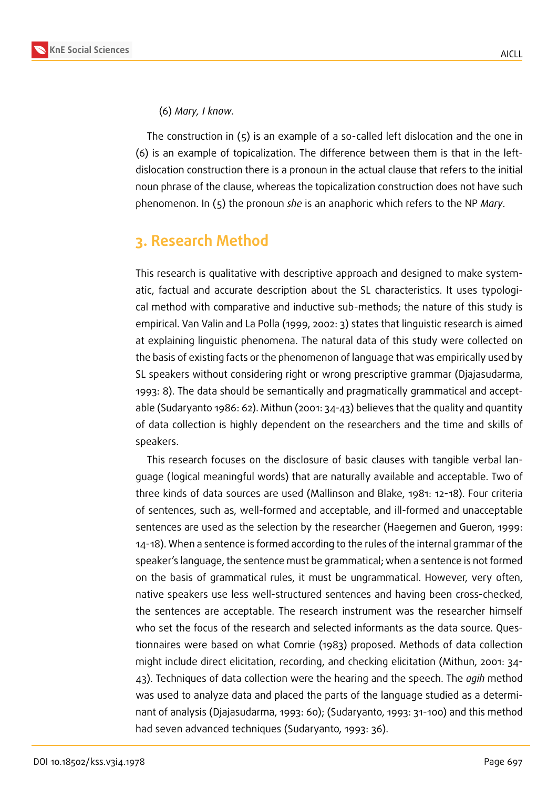#### (6) *Mary, I know.*

The construction in  $(5)$  is an example of a so-called left dislocation and the one in (6) is an example of topicalization. The difference between them is that in the leftdislocation construction there is a pronoun in the actual clause that refers to the initial noun phrase of the clause, whereas the topicalization construction does not have such phenomenon. In (5) the pronoun *she* is an anaphoric which refers to the NP *Mary*.

### **3. Research Method**

This research is qualitative with descriptive approach and designed to make systematic, factual and accurate description about the SL characteristics. It uses typological method with comparative and inductive sub-methods; the nature of this study is empirical. Van Valin and La Polla (1999, 2002: 3) states that linguistic research is aimed at explaining linguistic phenomena. The natural data of this study were collected on the basis of existing facts or the phenomenon of language that was empirically used by SL speakers without considering right or wrong prescriptive grammar (Djajasudarma, 1993: 8). The data should be semantically and pragmatically grammatical and acceptable (Sudaryanto 1986: 62). Mithun (2001: 34-43) believes that the quality and quantity of data collection is highly dependent on the researchers and the time and skills of speakers.

This research focuses on the disclosure of basic clauses with tangible verbal language (logical meaningful words) that are naturally available and acceptable. Two of three kinds of data sources are used (Mallinson and Blake, 1981: 12-18). Four criteria of sentences, such as, well-formed and acceptable, and ill-formed and unacceptable sentences are used as the selection by the researcher (Haegemen and Gueron, 1999: 14-18). When a sentence is formed according to the rules of the internal grammar of the speaker's language, the sentence must be grammatical; when a sentence is not formed on the basis of grammatical rules, it must be ungrammatical. However, very often, native speakers use less well-structured sentences and having been cross-checked, the sentences are acceptable. The research instrument was the researcher himself who set the focus of the research and selected informants as the data source. Questionnaires were based on what Comrie (1983) proposed. Methods of data collection might include direct elicitation, recording, and checking elicitation (Mithun, 2001: 34- 43). Techniques of data collection were the hearing and the speech. The *agih* method was used to analyze data and placed the parts of the language studied as a determinant of analysis (Djajasudarma, 1993: 60); (Sudaryanto, 1993: 31-100) and this method had seven advanced techniques (Sudaryanto, 1993: 36).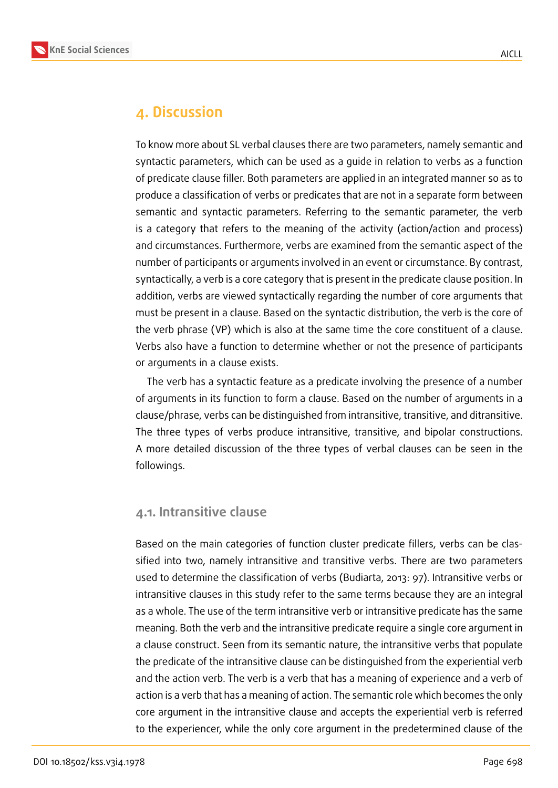

#### **4. Discussion**

To know more about SL verbal clauses there are two parameters, namely semantic and syntactic parameters, which can be used as a guide in relation to verbs as a function of predicate clause filler. Both parameters are applied in an integrated manner so as to produce a classification of verbs or predicates that are not in a separate form between semantic and syntactic parameters. Referring to the semantic parameter, the verb is a category that refers to the meaning of the activity (action/action and process) and circumstances. Furthermore, verbs are examined from the semantic aspect of the number of participants or arguments involved in an event or circumstance. By contrast, syntactically, a verb is a core category that is present in the predicate clause position. In addition, verbs are viewed syntactically regarding the number of core arguments that must be present in a clause. Based on the syntactic distribution, the verb is the core of the verb phrase (VP) which is also at the same time the core constituent of a clause. Verbs also have a function to determine whether or not the presence of participants or arguments in a clause exists.

The verb has a syntactic feature as a predicate involving the presence of a number of arguments in its function to form a clause. Based on the number of arguments in a clause/phrase, verbs can be distinguished from intransitive, transitive, and ditransitive. The three types of verbs produce intransitive, transitive, and bipolar constructions. A more detailed discussion of the three types of verbal clauses can be seen in the followings.

#### **4.1. Intransitive clause**

Based on the main categories of function cluster predicate fillers, verbs can be classified into two, namely intransitive and transitive verbs. There are two parameters used to determine the classification of verbs (Budiarta, 2013: 97). Intransitive verbs or intransitive clauses in this study refer to the same terms because they are an integral as a whole. The use of the term intransitive verb or intransitive predicate has the same meaning. Both the verb and the intransitive predicate require a single core argument in a clause construct. Seen from its semantic nature, the intransitive verbs that populate the predicate of the intransitive clause can be distinguished from the experiential verb and the action verb. The verb is a verb that has a meaning of experience and a verb of action is a verb that has a meaning of action. The semantic role which becomes the only core argument in the intransitive clause and accepts the experiential verb is referred to the experiencer, while the only core argument in the predetermined clause of the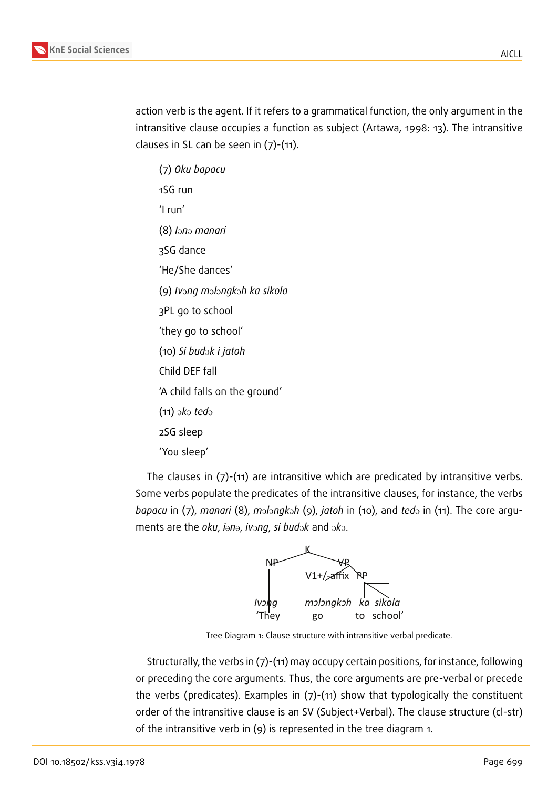

action verb is the agent. If it refers to a grammatical function, the only argument in the intransitive clause occupies a function as subject (Artawa, 1998: 13). The intransitive clauses in SL can be seen in  $(7)-(11)$ .

(7) *Oku bapacu* 1SG run 'I run' (8) *I*@*n*@ *manari* 3SG dance 'He/She dances' (9) *Iv*O*ng m*O*l*O*ngk*O*h ka sikola* 3PL go to school 'they go to school' (10) *Si bud*O*k i jatoh* Child DEF fall 'A child falls on the ground'  $(11)$  oko *ted* $\Theta$ 2SG sleep 'You sleep'

The clauses in (7)-(11) are intransitive which are predicated by intransitive verbs. Some verbs populate the predicates of the intransitive clauses, for instance, the verbs *bapacu* in (7), *manari* (8), *m*olongkoh (9), *jatoh* in (10), and *ted* in (11). The core arguments are the *oku*, *i*<sup>on</sup><sup>2</sup>, *iv*<sup>ong</sup>, *si bud*<sup>2</sup> and <sup>2</sup>*k*<sup>2</sup>.



Tree Diagram 1: Clause structure with intransitive verbal predicate.

Structurally, the verbs in (7)-(11) may occupy certain positions, for instance, following or preceding the core arguments. Thus, the core arguments are pre-verbal or precede the verbs (predicates). Examples in (7)-(11) show that typologically the constituent order of the intransitive clause is an SV (Subject+Verbal). The clause structure (cl-str) of the intransitive verb in (9) is represented in the tree diagram 1.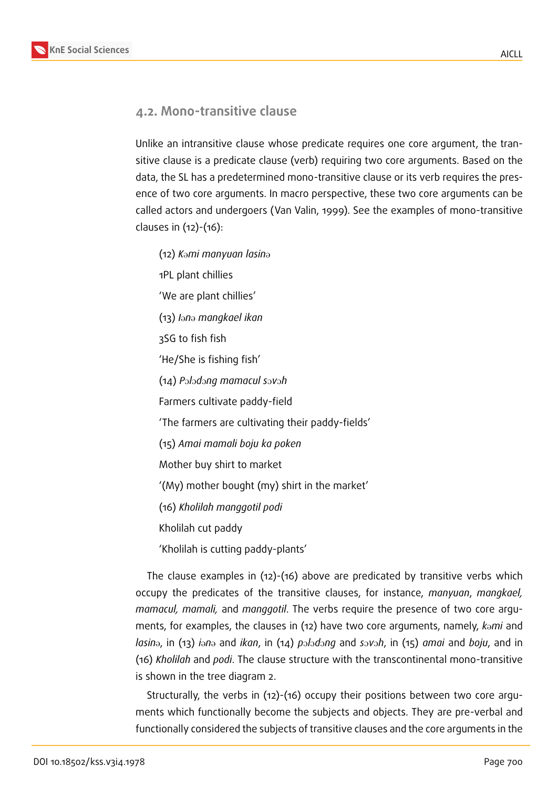

#### **4.2. Mono-transitive clause**

Unlike an intransitive clause whose predicate requires one core argument, the transitive clause is a predicate clause (verb) requiring two core arguments. Based on the data, the SL has a predetermined mono-transitive clause or its verb requires the presence of two core arguments. In macro perspective, these two core arguments can be called actors and undergoers (Van Valin, 1999). See the examples of mono-transitive clauses in (12)-(16):

(12) *K*@*mi manyuan lasin*@ 1PL plant chillies 'We are plant chillies' (13) *I*@*n*@ *mangkael ikan* 3SG to fish fish 'He/She is fishing fish' (14) *P*O*l*O*d*O*ng mamacul s*O*v*O*h* Farmers cultivate paddy-field 'The farmers are cultivating their paddy-fields' (15) *Amai mamali boju ka poken* Mother buy shirt to market '(My) mother bought (my) shirt in the market' (16) *Kholilah manggotil podi* Kholilah cut paddy 'Kholilah is cutting paddy-plants'

The clause examples in (12)-(16) above are predicated by transitive verbs which occupy the predicates of the transitive clauses, for instance, *manyuan*, *mangkael, mamacul, mamali,* and *manggotil*. The verbs require the presence of two core arguments, for examples, the clauses in (12) have two core arguments, namely, *kami* and *lasin*@, in (13) *i*@*n*@ and *ikan*, in (14) *p*O*l*O*d*O*ng* and *s*O*v*O*h*, in (15) *amai* and *boju*, and in (16) *Kholilah* and *podi*. The clause structure with the transcontinental mono-transitive is shown in the tree diagram 2.

Structurally, the verbs in (12)-(16) occupy their positions between two core arguments which functionally become the subjects and objects. They are pre-verbal and functionally considered the subjects of transitive clauses and the core arguments in the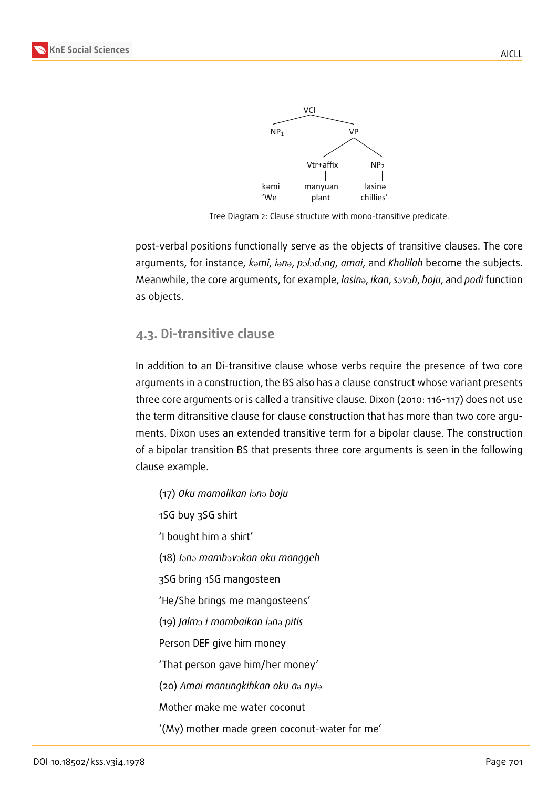

Tree Diagram 2: Clause structure with mono-transitive predicate.

post-verbal positions functionally serve as the objects of transitive clauses. The core arguments, for instance,  $k$ <sup>omi</sup>, *i*<sup>on</sup><sup>2</sup>, *p*<sup>2</sup>/<sup>2</sup>*d*</sub>, *amai*, and *Kholilah* become the subjects. Meanwhile, the core arguments, for example, *lasin*@, *ikan*, *s*O*v*O*h*, *boju*, and *podi* function as objects.

#### **4.3. Di-transitive clause**

In addition to an Di-transitive clause whose verbs require the presence of two core arguments in a construction, the BS also has a clause construct whose variant presents three core arguments or is called a transitive clause. Dixon (2010: 116-117) does not use the term ditransitive clause for clause construction that has more than two core arguments. Dixon uses an extended transitive term for a bipolar clause. The construction of a bipolar transition BS that presents three core arguments is seen in the following clause example.

(17) *Oku mamalikan i*@*n*@ *boju* 1SG buy 3SG shirt 'I bought him a shirt' (18) *I*@*n*@ *mamb*@*v*@*kan oku manggeh* 3SG bring 1SG mangosteen 'He/She brings me mangosteens' (19) *Jalm*O *i mambaikan i*@*n*@ *pitis* Person DEF give him money 'That person gave him/her money' (20) *Amai manungkihkan oku a*@ *nyi*@ Mother make me water coconut '(My) mother made green coconut-water for me'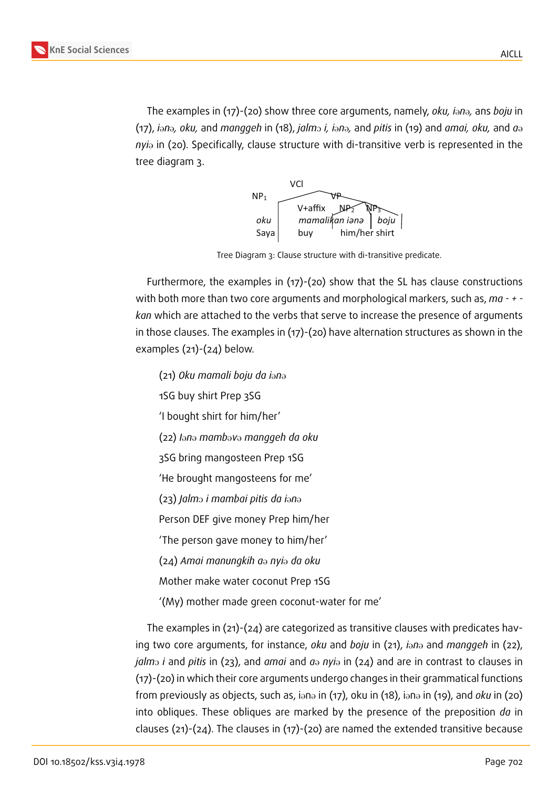

The examples in (17)-(20) show three core arguments, namely, *oku*, *i*ana, ans *boju* in  $(17)$ , *i*<sup>on</sup>, *oku*, and *manggeh* in (18), *jalm*<sup>3</sup> *i*, *i*<sup>3</sup> and *pitis* in (19) and *amai, oku*, and *a*<sup>3</sup> *nyi*<sup>a</sup> in (20). Specifically, clause structure with di-transitive verb is represented in the tree diagram 3.



Tree Diagram 3: Clause structure with di-transitive predicate.

Furthermore, the examples in (17)-(20) show that the SL has clause constructions with both more than two core arguments and morphological markers, such as, *ma - + kan* which are attached to the verbs that serve to increase the presence of arguments in those clauses. The examples in (17)-(20) have alternation structures as shown in the examples (21)-(24) below.

(21) *Oku mamali boju da i*@*n*@

1SG buy shirt Prep 3SG

'I bought shirt for him/her'

(22) *I*@*n*@ *mamb*@*v*@ *manggeh da oku*

3SG bring mangosteen Prep 1SG

'He brought mangosteens for me'

(23) *Jalm*O *i mambai pitis da i*@*n*@

Person DEF give money Prep him/her

'The person gave money to him/her'

(24) *Amai manungkih a*@ *nyi*@ *da oku*

Mother make water coconut Prep 1SG

'(My) mother made green coconut-water for me'

The examples in (21)-(24) are categorized as transitive clauses with predicates having two core arguments, for instance, *oku* and *boju* in (21), *i*ono and *manggeh* in (22), *jalm*<sub>2</sub> *i* and *pitis* in (23), and *amai* and  $a_{\theta}$  *nyi* $_{\theta}$  in (24) and are in contrast to clauses in (17)-(20) in which their core arguments undergo changes in their grammatical functions from previously as objects, such as, iana in (17), oku in (18), iana in (19), and *oku* in (20) into obliques. These obliques are marked by the presence of the preposition *da* in clauses (21)-(24). The clauses in (17)-(20) are named the extended transitive because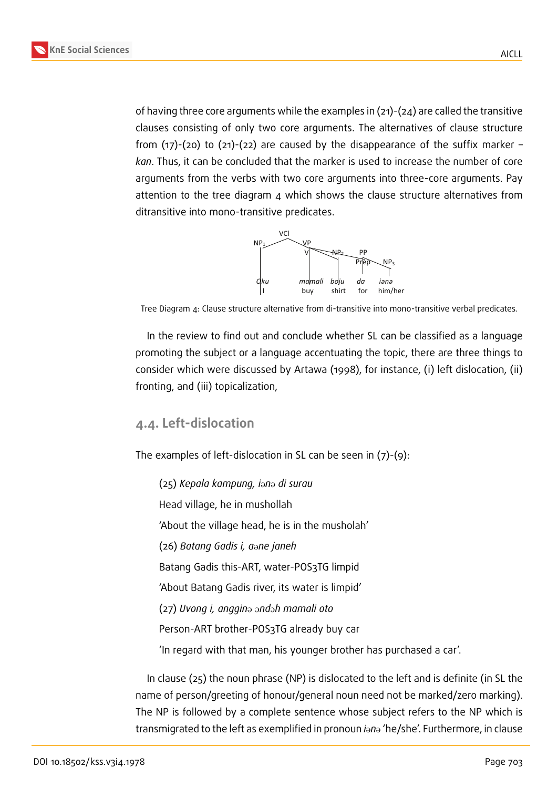of having three core arguments while the examples in (21)-(24) are called the transitive clauses consisting of only two core arguments. The alternatives of clause structure from  $(17)-(20)$  to  $(21)-(22)$  are caused by the disappearance of the suffix marker – *kan*. Thus, it can be concluded that the marker is used to increase the number of core arguments from the verbs with two core arguments into three-core arguments. Pay attention to the tree diagram 4 which shows the clause structure alternatives from ditransitive into mono-transitive predicates.



Tree Diagram 4: Clause structure alternative from di-transitive into mono-transitive verbal predicates.

In the review to find out and conclude whether SL can be classified as a language promoting the subject or a language accentuating the topic, there are three things to consider which were discussed by Artawa (1998), for instance, (i) left dislocation, (ii) fronting, and (iii) topicalization,

#### **4.4. Left-dislocation**

The examples of left-dislocation in SL can be seen in (7)-(9):

(25) *Kepala kampung, i*@*n*@ *di surau* Head village, he in mushollah 'About the village head, he is in the musholah' (26) *Batang Gadis i, a*@*ne janeh* Batang Gadis this-ART, water-POS3TG limpid 'About Batang Gadis river, its water is limpid' (27) *Uvong i, anggin*@ O*nd*O*h mamali oto* Person-ART brother-POS3TG already buy car 'In regard with that man, his younger brother has purchased a car'.

In clause (25) the noun phrase (NP) is dislocated to the left and is definite (in SL the name of person/greeting of honour/general noun need not be marked/zero marking). The NP is followed by a complete sentence whose subject refers to the NP which is transmigrated to the left as exemplified in pronoun *i*ono 'he/she'. Furthermore, in clause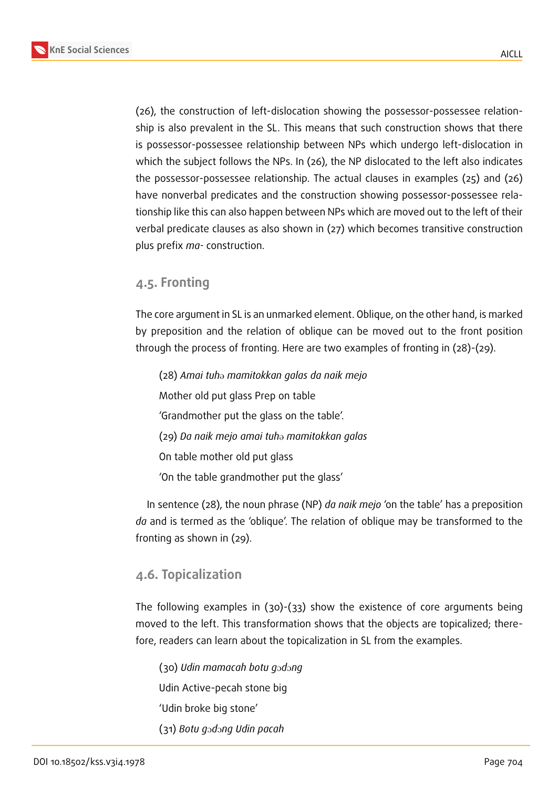AICLL



(26), the construction of left-dislocation showing the possessor-possessee relationship is also prevalent in the SL. This means that such construction shows that there is possessor-possessee relationship between NPs which undergo left-dislocation in which the subject follows the NPs. In (26), the NP dislocated to the left also indicates the possessor-possessee relationship. The actual clauses in examples (25) and (26) have nonverbal predicates and the construction showing possessor-possessee relationship like this can also happen between NPs which are moved out to the left of their verbal predicate clauses as also shown in (27) which becomes transitive construction plus prefix *ma-* construction.

#### **4.5. Fronting**

The core argument in SL is an unmarked element. Oblique, on the other hand, is marked by preposition and the relation of oblique can be moved out to the front position through the process of fronting. Here are two examples of fronting in (28)-(29).

(28) *Amai tuh*@ *mamitokkan galas da naik mejo* Mother old put glass Prep on table 'Grandmother put the glass on the table'. (29) *Da naik mejo amai tuh*@ *mamitokkan galas* On table mother old put glass 'On the table grandmother put the glass'

In sentence (28), the noun phrase (NP) *da naik mejo* 'on the table' has a preposition *da* and is termed as the 'oblique'. The relation of oblique may be transformed to the fronting as shown in (29).

#### **4.6. Topicalization**

The following examples in (30)-(33) show the existence of core arguments being moved to the left. This transformation shows that the objects are topicalized; therefore, readers can learn about the topicalization in SL from the examples.

(30) *Udin mamacah botu g*O*d*O*ng* Udin Active-pecah stone big 'Udin broke big stone' (31) *Botu g*O*d*O*ng Udin pacah*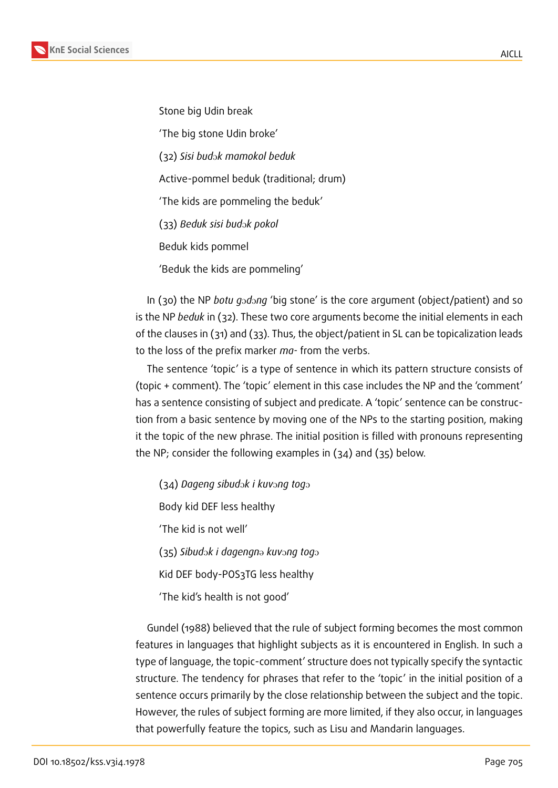Stone big Udin break

'The big stone Udin broke'

(32) *Sisi bud*O*k mamokol beduk*

Active-pommel beduk (traditional; drum)

'The kids are pommeling the beduk'

(33) Beduk sisi bud<sub>2</sub>k pokol

Beduk kids pommel

'Beduk the kids are pommeling'

In (30) the NP *botu godong* 'big stone' is the core argument (object/patient) and so is the NP *beduk* in (32). These two core arguments become the initial elements in each of the clauses in (31) and (33). Thus, the object/patient in SL can be topicalization leads to the loss of the prefix marker *ma-* from the verbs.

The sentence 'topic' is a type of sentence in which its pattern structure consists of (topic + comment). The 'topic' element in this case includes the NP and the 'comment' has a sentence consisting of subject and predicate. A 'topic' sentence can be construction from a basic sentence by moving one of the NPs to the starting position, making it the topic of the new phrase. The initial position is filled with pronouns representing the NP; consider the following examples in (34) and (35) below.

(34) Dageng sibudok i kuvong togo Body kid DEF less healthy 'The kid is not well'  $(35)$  *Sibudok i dagengna kuvong togo* Kid DEF body-POS3TG less healthy 'The kid's health is not good'

Gundel (1988) believed that the rule of subject forming becomes the most common features in languages that highlight subjects as it is encountered in English. In such a type of language, the topic-comment' structure does not typically specify the syntactic structure. The tendency for phrases that refer to the 'topic' in the initial position of a sentence occurs primarily by the close relationship between the subject and the topic. However, the rules of subject forming are more limited, if they also occur, in languages that powerfully feature the topics, such as Lisu and Mandarin languages.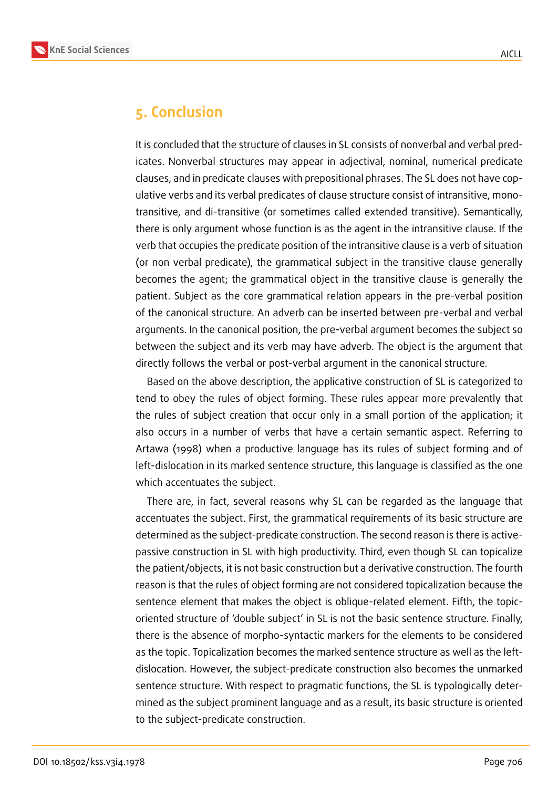

### **5. Conclusion**

It is concluded that the structure of clauses in SL consists of nonverbal and verbal predicates. Nonverbal structures may appear in adjectival, nominal, numerical predicate clauses, and in predicate clauses with prepositional phrases. The SL does not have copulative verbs and its verbal predicates of clause structure consist of intransitive, monotransitive, and di-transitive (or sometimes called extended transitive). Semantically, there is only argument whose function is as the agent in the intransitive clause. If the verb that occupies the predicate position of the intransitive clause is a verb of situation (or non verbal predicate), the grammatical subject in the transitive clause generally becomes the agent; the grammatical object in the transitive clause is generally the patient. Subject as the core grammatical relation appears in the pre-verbal position of the canonical structure. An adverb can be inserted between pre-verbal and verbal arguments. In the canonical position, the pre-verbal argument becomes the subject so between the subject and its verb may have adverb. The object is the argument that directly follows the verbal or post-verbal argument in the canonical structure.

Based on the above description, the applicative construction of SL is categorized to tend to obey the rules of object forming. These rules appear more prevalently that the rules of subject creation that occur only in a small portion of the application; it also occurs in a number of verbs that have a certain semantic aspect. Referring to Artawa (1998) when a productive language has its rules of subject forming and of left-dislocation in its marked sentence structure, this language is classified as the one which accentuates the subject.

There are, in fact, several reasons why SL can be regarded as the language that accentuates the subject. First, the grammatical requirements of its basic structure are determined as the subject-predicate construction. The second reason is there is activepassive construction in SL with high productivity. Third, even though SL can topicalize the patient/objects, it is not basic construction but a derivative construction. The fourth reason is that the rules of object forming are not considered topicalization because the sentence element that makes the object is oblique-related element. Fifth, the topicoriented structure of 'double subject' in SL is not the basic sentence structure. Finally, there is the absence of morpho-syntactic markers for the elements to be considered as the topic. Topicalization becomes the marked sentence structure as well as the leftdislocation. However, the subject-predicate construction also becomes the unmarked sentence structure. With respect to pragmatic functions, the SL is typologically determined as the subject prominent language and as a result, its basic structure is oriented to the subject-predicate construction.